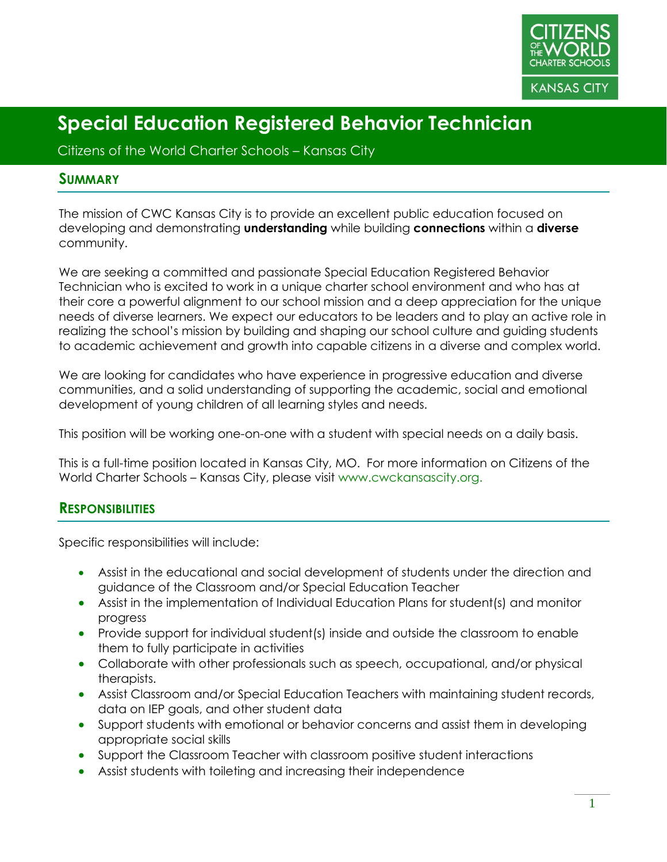

Citizens of the World Charter Schools – Kansas City

#### **SUMMARY**

The mission of CWC Kansas City is to provide an excellent public education focused on developing and demonstrating **understanding** while building **connections** within a **diverse** community.

We are seeking a committed and passionate Special Education Registered Behavior Technician who is excited to work in a unique charter school environment and who has at their core a powerful alignment to our school mission and a deep appreciation for the unique needs of diverse learners. We expect our educators to be leaders and to play an active role in realizing the school's mission by building and shaping our school culture and guiding students to academic achievement and growth into capable citizens in a diverse and complex world.

We are looking for candidates who have experience in progressive education and diverse communities, and a solid understanding of supporting the academic, social and emotional development of young children of all learning styles and needs.

This position will be working one-on-one with a student with special needs on a daily basis.

This is a full-time position located in Kansas City, MO. For more information on Citizens of the World Charter Schools – Kansas City, please visit www.cwckansascity.org.

#### **RESPONSIBILITIES**

Specific responsibilities will include:

- Assist in the educational and social development of students under the direction and guidance of the Classroom and/or Special Education Teacher
- Assist in the implementation of Individual Education Plans for student(s) and monitor progress
- Provide support for individual student(s) inside and outside the classroom to enable them to fully participate in activities
- Collaborate with other professionals such as speech, occupational, and/or physical therapists.
- Assist Classroom and/or Special Education Teachers with maintaining student records, data on IEP goals, and other student data
- Support students with emotional or behavior concerns and assist them in developing appropriate social skills
- Support the Classroom Teacher with classroom positive student interactions
- Assist students with toileting and increasing their independence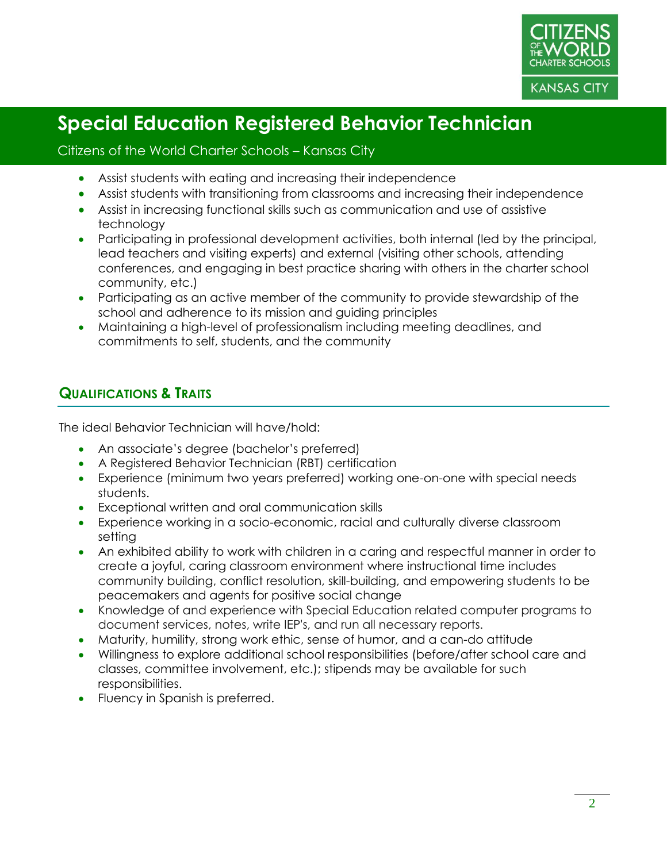

#### Citizens of the World Charter Schools – Kansas City

- Assist students with eating and increasing their independence
- Assist students with transitioning from classrooms and increasing their independence
- Assist in increasing functional skills such as communication and use of assistive technology
- Participating in professional development activities, both internal (led by the principal, lead teachers and visiting experts) and external (visiting other schools, attending conferences, and engaging in best practice sharing with others in the charter school community, etc.)
- Participating as an active member of the community to provide stewardship of the school and adherence to its mission and guiding principles
- Maintaining a high-level of professionalism including meeting deadlines, and commitments to self, students, and the community

#### **QUALIFICATIONS & TRAITS**

The ideal Behavior Technician will have/hold:

- An associate's degree (bachelor's preferred)
- A Registered Behavior Technician (RBT) certification
- Experience (minimum two years preferred) working one-on-one with special needs students.
- Exceptional written and oral communication skills
- Experience working in a socio-economic, racial and culturally diverse classroom setting
- An exhibited ability to work with children in a caring and respectful manner in order to create a joyful, caring classroom environment where instructional time includes community building, conflict resolution, skill-building, and empowering students to be peacemakers and agents for positive social change
- Knowledge of and experience with Special Education related computer programs to document services, notes, write IEP's, and run all necessary reports.
- Maturity, humility, strong work ethic, sense of humor, and a can-do attitude
- Willingness to explore additional school responsibilities (before/after school care and classes, committee involvement, etc.); stipends may be available for such responsibilities.
- Fluency in Spanish is preferred.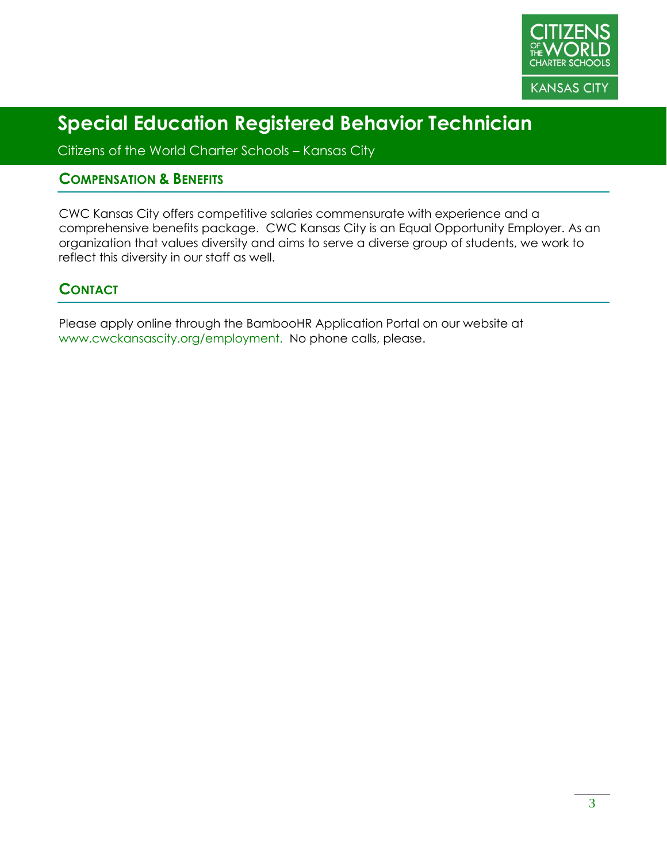

Citizens of the World Charter Schools – Kansas City

#### **COMPENSATION & BENEFITS**

CWC Kansas City offers competitive salaries commensurate with experience and a comprehensive benefits package. CWC Kansas City is an Equal Opportunity Employer. As an organization that values diversity and aims to serve a diverse group of students, we work to reflect this diversity in our staff as well.

#### **CONTACT**

Please apply online through the BambooHR Application Portal on our website at www.cwckansascity.org/employment. No phone calls, please.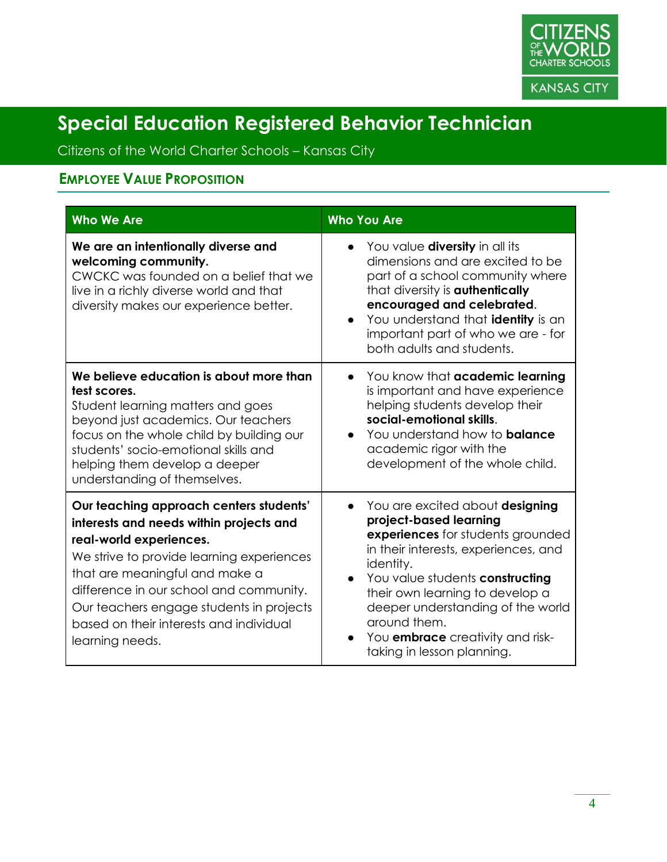

Citizens of the World Charter Schools – Kansas City

### **EMPLOYEE VALUE PROPOSITION**

| <b>Who We Are</b>                                                                                                                                                                                                                                                                                                                                 | <b>Who You Are</b>                                                                                                                                                                                                                                                                                                                                                                |
|---------------------------------------------------------------------------------------------------------------------------------------------------------------------------------------------------------------------------------------------------------------------------------------------------------------------------------------------------|-----------------------------------------------------------------------------------------------------------------------------------------------------------------------------------------------------------------------------------------------------------------------------------------------------------------------------------------------------------------------------------|
| We are an intentionally diverse and<br>welcoming community.<br>CWCKC was founded on a belief that we<br>live in a richly diverse world and that<br>diversity makes our experience better.                                                                                                                                                         | You value <b>diversity</b> in all its<br>dimensions and are excited to be<br>part of a school community where<br>that diversity is <b>authentically</b><br>encouraged and celebrated.<br>You understand that identity is an<br>important part of who we are - for<br>both adults and students.                                                                                    |
| We believe education is about more than<br>test scores.<br>Student learning matters and goes<br>beyond just academics. Our teachers<br>focus on the whole child by building our<br>students' socio-emotional skills and<br>helping them develop a deeper<br>understanding of themselves.                                                          | You know that academic learning<br>is important and have experience<br>helping students develop their<br>social-emotional skills.<br>You understand how to <b>balance</b><br>$\bullet$<br>academic rigor with the<br>development of the whole child.                                                                                                                              |
| Our teaching approach centers students'<br>interests and needs within projects and<br>real-world experiences.<br>We strive to provide learning experiences<br>that are meaningful and make a<br>difference in our school and community.<br>Our teachers engage students in projects<br>based on their interests and individual<br>learning needs. | You are excited about designing<br>$\bullet$<br>project-based learning<br>experiences for students grounded<br>in their interests, experiences, and<br>identity.<br>You value students constructing<br>$\bullet$<br>their own learning to develop a<br>deeper understanding of the world<br>around them.<br>You <b>embrace</b> creativity and risk-<br>taking in lesson planning. |